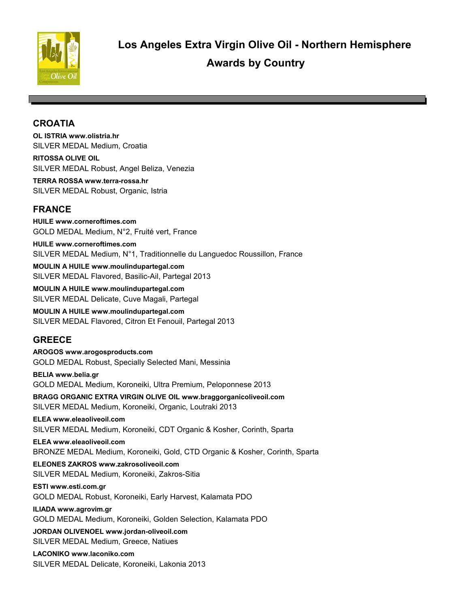

# **CROATIA**

**OL ISTRIA www.olistria.hr** SILVER MEDAL Medium, Croatia

**RITOSSA OLIVE OIL**  SILVER MEDAL Robust, Angel Beliza, Venezia

**TERRA ROSSA www.terra-rossa.hr** SILVER MEDAL Robust, Organic, Istria

# **FRANCE**

**HUILE www.corneroftimes.com** GOLD MEDAL Medium, N°2, Fruité vert, France

**HUILE www.corneroftimes.com** SILVER MEDAL Medium, N°1, Traditionnelle du Languedoc Roussillon, France

**MOULIN A HUILE www.moulindupartegal.com** SILVER MEDAL Flavored, Basilic-Ail, Partegal 2013

**MOULIN A HUILE www.moulindupartegal.com** SILVER MEDAL Delicate, Cuve Magali, Partegal

**MOULIN A HUILE www.moulindupartegal.com** SILVER MEDAL Flavored, Citron Et Fenouil, Partegal 2013

# **GREECE**

**AROGOS www.arogosproducts.com** GOLD MEDAL Robust, Specially Selected Mani, Messinia

**BELIA www.belia.gr** GOLD MEDAL Medium, Koroneiki, Ultra Premium, Peloponnese 2013

**BRAGG ORGANIC EXTRA VIRGIN OLIVE OIL www.braggorganicoliveoil.com** SILVER MEDAL Medium, Koroneiki, Organic, Loutraki 2013

**ELEA www.eleaoliveoil.com** SILVER MEDAL Medium, Koroneiki, CDT Organic & Kosher, Corinth, Sparta

**ELEA www.eleaoliveoil.com** BRONZE MEDAL Medium, Koroneiki, Gold, CTD Organic & Kosher, Corinth, Sparta

**ELEONES ZAKROS www.zakrosoliveoil.com** SILVER MEDAL Medium, Koroneiki, Zakros-Sitia

**ESTI www.esti.com.gr** GOLD MEDAL Robust, Koroneiki, Early Harvest, Kalamata PDO

**ILIADA www.agrovim.gr** GOLD MEDAL Medium, Koroneiki, Golden Selection, Kalamata PDO

**JORDAN OLIVENOEL www.jordan-oliveoil.com** SILVER MEDAL Medium, Greece, Natiues

**LACONIKO www.laconiko.com** SILVER MEDAL Delicate, Koroneiki, Lakonia 2013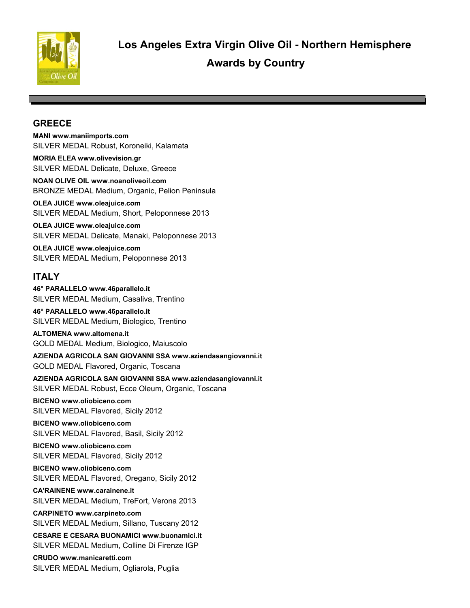

# **GREECE**

**MANI www.maniimports.com** SILVER MEDAL Robust, Koroneiki, Kalamata

**MORIA ELEA www.olivevision.gr** SILVER MEDAL Delicate, Deluxe, Greece

**NOAN OLIVE OIL www.noanoliveoil.com** BRONZE MEDAL Medium, Organic, Pelion Peninsula

**OLEA JUICE www.oleajuice.com** SILVER MEDAL Medium, Short, Peloponnese 2013

**OLEA JUICE www.oleajuice.com** SILVER MEDAL Delicate, Manaki, Peloponnese 2013

**OLEA JUICE www.oleajuice.com** SILVER MEDAL Medium, Peloponnese 2013

# **ITALY**

**46° PARALLELO www.46parallelo.it** SILVER MEDAL Medium, Casaliva, Trentino

**46° PARALLELO www.46parallelo.it** SILVER MEDAL Medium, Biologico, Trentino

**ALTOMENA www.altomena.it** GOLD MEDAL Medium, Biologico, Maiuscolo

**AZIENDA AGRICOLA SAN GIOVANNI SSA www.aziendasangiovanni.it** GOLD MEDAL Flavored, Organic, Toscana

**AZIENDA AGRICOLA SAN GIOVANNI SSA www.aziendasangiovanni.it** SILVER MEDAL Robust, Ecce Oleum, Organic, Toscana

**BICENO www.oliobiceno.com** SILVER MEDAL Flavored, Sicily 2012

**BICENO www.oliobiceno.com** SILVER MEDAL Flavored, Basil, Sicily 2012

**BICENO www.oliobiceno.com** SILVER MEDAL Flavored, Sicily 2012

**BICENO www.oliobiceno.com** SILVER MEDAL Flavored, Oregano, Sicily 2012

**CA'RAINENE www.carainene.it** SILVER MEDAL Medium, TreFort, Verona 2013

**CARPINETO www.carpineto.com** SILVER MEDAL Medium, Sillano, Tuscany 2012

**CESARE E CESARA BUONAMICI www.buonamici.it** SILVER MEDAL Medium, Colline Di Firenze IGP

**CRUDO www.manicaretti.com** SILVER MEDAL Medium, Ogliarola, Puglia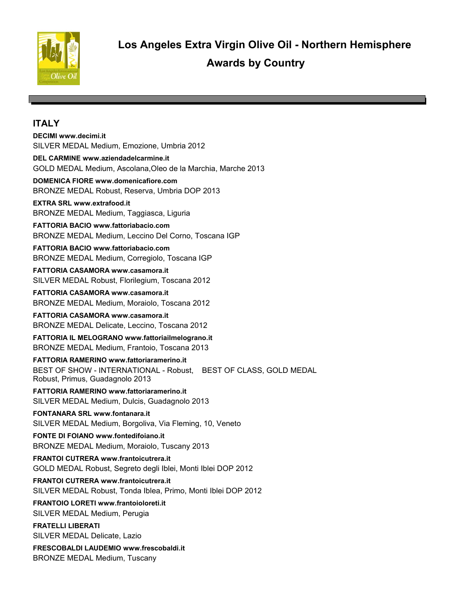

 **Awards by Country Los Angeles Extra Virgin Olive Oil - Northern Hemisphere**

#### **ITALY**

#### **DECIMI www.decimi.it**

SILVER MEDAL Medium, Emozione, Umbria 2012

#### **DEL CARMINE www.aziendadelcarmine.it**

GOLD MEDAL Medium, Ascolana,Oleo de la Marchia, Marche 2013

#### **DOMENICA FIORE www.domenicafiore.com**

BRONZE MEDAL Robust, Reserva, Umbria DOP 2013

#### **EXTRA SRL www.extrafood.it**

BRONZE MEDAL Medium, Taggiasca, Liguria

#### **FATTORIA BACIO www.fattoriabacio.com** BRONZE MEDAL Medium, Leccino Del Corno, Toscana IGP

**FATTORIA BACIO www.fattoriabacio.com** BRONZE MEDAL Medium, Corregiolo, Toscana IGP

**FATTORIA CASAMORA www.casamora.it** SILVER MEDAL Robust, Florilegium, Toscana 2012

**FATTORIA CASAMORA www.casamora.it** BRONZE MEDAL Medium, Moraiolo, Toscana 2012

**FATTORIA CASAMORA www.casamora.it** BRONZE MEDAL Delicate, Leccino, Toscana 2012

**FATTORIA IL MELOGRANO www.fattoriailmelograno.it** BRONZE MEDAL Medium, Frantoio, Toscana 2013

**FATTORIA RAMERINO www.fattoriaramerino.it** BEST OF SHOW - INTERNATIONAL - Robust, BEST OF CLASS, GOLD MEDAL Robust, Primus, Guadagnolo 2013

**FATTORIA RAMERINO www.fattoriaramerino.it** SILVER MEDAL Medium, Dulcis, Guadagnolo 2013

**FONTANARA SRL www.fontanara.it** SILVER MEDAL Medium, Borgoliva, Via Fleming, 10, Veneto

**FONTE DI FOIANO www.fontedifoiano.it** BRONZE MEDAL Medium, Moraiolo, Tuscany 2013

**FRANTOI CUTRERA www.frantoicutrera.it** GOLD MEDAL Robust, Segreto degli Iblei, Monti Iblei DOP 2012

**FRANTOI CUTRERA www.frantoicutrera.it** SILVER MEDAL Robust, Tonda Iblea, Primo, Monti Iblei DOP 2012

**FRANTOIO LORETI www.frantoioloreti.it** SILVER MEDAL Medium, Perugia

**FRATELLI LIBERATI**  SILVER MEDAL Delicate, Lazio

**FRESCOBALDI LAUDEMIO www.frescobaldi.it** BRONZE MEDAL Medium, Tuscany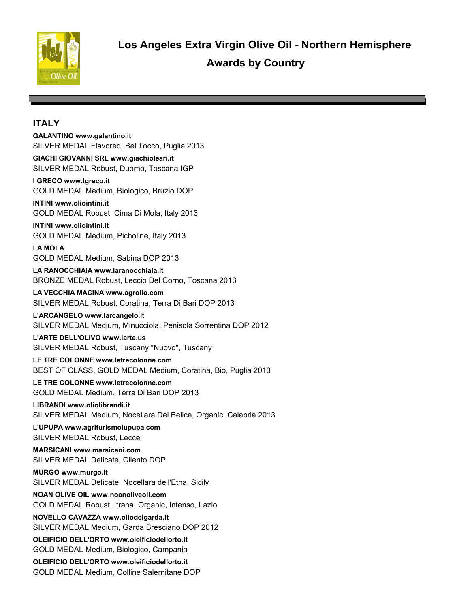

# **ITALY**

**GALANTINO www.galantino.it** SILVER MEDAL Flavored, Bel Tocco, Puglia 2013

**GIACHI GIOVANNI SRL www.giachioleari.it** SILVER MEDAL Robust, Duomo, Toscana IGP

**I GRECO www.Igreco.it** GOLD MEDAL Medium, Biologico, Bruzio DOP

### **INTINI www.oliointini.it**

GOLD MEDAL Robust, Cima Di Mola, Italy 2013

#### **INTINI www.oliointini.it**

GOLD MEDAL Medium, Picholine, Italy 2013

#### **LA MOLA**

GOLD MEDAL Medium, Sabina DOP 2013

**LA RANOCCHIAIA www.laranocchiaia.it** BRONZE MEDAL Robust, Leccio Del Corno, Toscana 2013

**LA VECCHIA MACINA www.agrolio.com** SILVER MEDAL Robust, Coratina, Terra Di Bari DOP 2013

# **L'ARCANGELO www.larcangelo.it**

SILVER MEDAL Medium, Minucciola, Penisola Sorrentina DOP 2012

#### **L'ARTE DELL'OLIVO www.larte.us**

SILVER MEDAL Robust, Tuscany "Nuovo", Tuscany

**LE TRE COLONNE www.letrecolonne.com** BEST OF CLASS, GOLD MEDAL Medium, Coratina, Bio, Puglia 2013

**LE TRE COLONNE www.letrecolonne.com** GOLD MEDAL Medium, Terra Di Bari DOP 2013

**LIBRANDI www.oliolibrandi.it** SILVER MEDAL Medium, Nocellara Del Belice, Organic, Calabria 2013

**L'UPUPA www.agriturismolupupa.com** SILVER MEDAL Robust, Lecce

**MARSICANI www.marsicani.com** SILVER MEDAL Delicate, Cilento DOP

**MURGO www.murgo.it** SILVER MEDAL Delicate, Nocellara dell'Etna, Sicily

**NOAN OLIVE OIL www.noanoliveoil.com** GOLD MEDAL Robust, Itrana, Organic, Intenso, Lazio

**NOVELLO CAVAZZA www.oliodelgarda.it** SILVER MEDAL Medium, Garda Bresciano DOP 2012

**OLEIFICIO DELL'ORTO www.oleificiodellorto.it** GOLD MEDAL Medium, Biologico, Campania

**OLEIFICIO DELL'ORTO www.oleificiodellorto.it** GOLD MEDAL Medium, Colline Salernitane DOP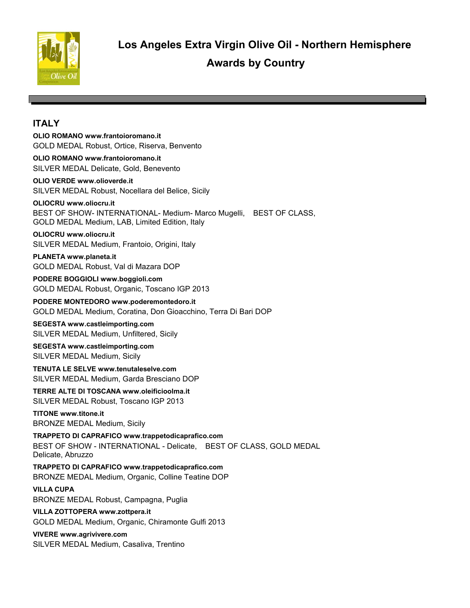

# **ITALY**

**OLIO ROMANO www.frantoioromano.it** GOLD MEDAL Robust, Ortice, Riserva, Benvento

**OLIO ROMANO www.frantoioromano.it** SILVER MEDAL Delicate, Gold, Benevento

**OLIO VERDE www.olioverde.it** SILVER MEDAL Robust, Nocellara del Belice, Sicily

**OLIOCRU www.oliocru.it** BEST OF SHOW- INTERNATIONAL- Medium- Marco Mugelli, BEST OF CLASS, GOLD MEDAL Medium, LAB, Limited Edition, Italy

**OLIOCRU www.oliocru.it** SILVER MEDAL Medium, Frantoio, Origini, Italy

**PLANETA www.planeta.it** GOLD MEDAL Robust, Val di Mazara DOP

**PODERE BOGGIOLI www.boggioli.com** GOLD MEDAL Robust, Organic, Toscano IGP 2013

**PODERE MONTEDORO www.poderemontedoro.it** GOLD MEDAL Medium, Coratina, Don Gioacchino, Terra Di Bari DOP

**SEGESTA www.castleimporting.com** SILVER MEDAL Medium, Unfiltered, Sicily

**SEGESTA www.castleimporting.com** SILVER MEDAL Medium, Sicily

**TENUTA LE SELVE www.tenutaleselve.com** SILVER MEDAL Medium, Garda Bresciano DOP

**TERRE ALTE DI TOSCANA www.oleificioolma.it** SILVER MEDAL Robust, Toscano IGP 2013

**TITONE www.titone.it** BRONZE MEDAL Medium, Sicily

**TRAPPETO DI CAPRAFICO www.trappetodicaprafico.com** BEST OF SHOW - INTERNATIONAL - Delicate, BEST OF CLASS, GOLD MEDAL Delicate, Abruzzo

**TRAPPETO DI CAPRAFICO www.trappetodicaprafico.com** BRONZE MEDAL Medium, Organic, Colline Teatine DOP

**VILLA CUPA** 

BRONZE MEDAL Robust, Campagna, Puglia

**VILLA ZOTTOPERA www.zottpera.it** GOLD MEDAL Medium, Organic, Chiramonte Gulfi 2013

**VIVERE www.agrivivere.com** SILVER MEDAL Medium, Casaliva, Trentino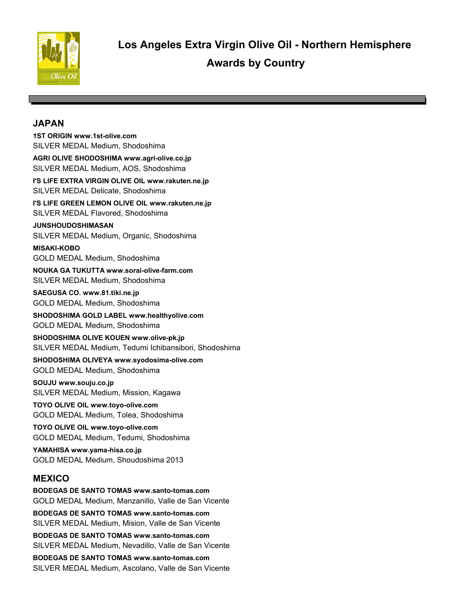

# **JAPAN**

**1ST ORIGIN www.1st-olive.com** SILVER MEDAL Medium, Shodoshima **AGRI OLIVE SHODOSHIMA www.agri-olive.co.jp** SILVER MEDAL Medium, AOS, Shodoshima **I'S LIFE EXTRA VIRGIN OLIVE OIL www.rakuten.ne.jp** SILVER MEDAL Delicate, Shodoshima **I'S LIFE GREEN LEMON OLIVE OIL www.rakuten.ne.jp** SILVER MEDAL Flavored, Shodoshima **JUNSHOUDOSHIMASAN**  SILVER MEDAL Medium, Organic, Shodoshima **MISAKI-KOBO**  GOLD MEDAL Medium, Shodoshima **NOUKA GA TUKUTTA www.sorai-olive-farm.com** SILVER MEDAL Medium, Shodoshima **SAEGUSA CO. www.81.tiki.ne.jp** GOLD MEDAL Medium, Shodoshima **SHODOSHIMA GOLD LABEL www.healthyolive.com** GOLD MEDAL Medium, Shodoshima **SHODOSHIMA OLIVE KOUEN www.olive-pk.jp** SILVER MEDAL Medium, Tedumi Ichibansibori, Shodoshima **SHODOSHIMA OLIVEYA www.syodosima-olive.com** GOLD MEDAL Medium, Shodoshima **SOUJU www.souju.co.jp** SILVER MEDAL Medium, Mission, Kagawa **TOYO OLIVE OIL www.toyo-olive.com** GOLD MEDAL Medium, Tolea, Shodoshima **TOYO OLIVE OIL www.toyo-olive.com** GOLD MEDAL Medium, Tedumi, Shodoshima **YAMAHISA www.yama-hisa.co.jp** GOLD MEDAL Medium, Shoudoshima 2013 **MEXICO BODEGAS DE SANTO TOMAS www.santo-tomas.com** GOLD MEDAL Medium, Manzanillo, Valle de San Vicente **BODEGAS DE SANTO TOMAS www.santo-tomas.com** SILVER MEDAL Medium, Mision, Valle de San Vicente **BODEGAS DE SANTO TOMAS www.santo-tomas.com** SILVER MEDAL Medium, Nevadillo, Valle de San Vicente **BODEGAS DE SANTO TOMAS www.santo-tomas.com**

SILVER MEDAL Medium, Ascolano, Valle de San Vicente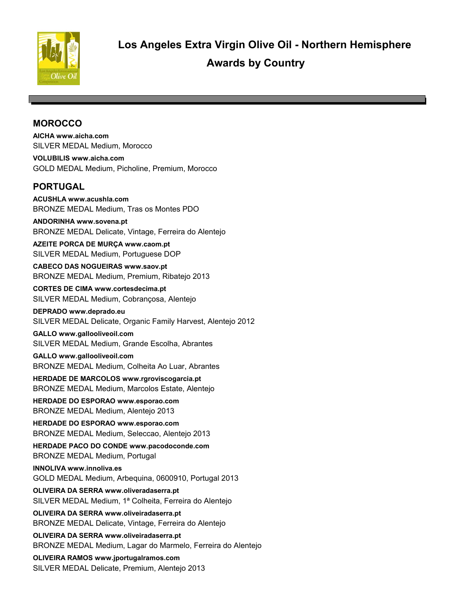

# **MOROCCO**

**AICHA www.aicha.com** SILVER MEDAL Medium, Morocco

**VOLUBILIS www.aicha.com** GOLD MEDAL Medium, Picholine, Premium, Morocco

# **PORTUGAL**

**ACUSHLA www.acushla.com** BRONZE MEDAL Medium, Tras os Montes PDO

#### **ANDORINHA www.sovena.pt**

BRONZE MEDAL Delicate, Vintage, Ferreira do Alentejo

**AZEITE PORCA DE MURÇA www.caom.pt** SILVER MEDAL Medium, Portuguese DOP

**CABECO DAS NOGUEIRAS www.saov.pt** BRONZE MEDAL Medium, Premium, Ribatejo 2013

**CORTES DE CIMA www.cortesdecima.pt** SILVER MEDAL Medium, Cobrançosa, Alentejo

**DEPRADO www.deprado.eu** SILVER MEDAL Delicate, Organic Family Harvest, Alentejo 2012

#### **GALLO www.gallooliveoil.com** SILVER MEDAL Medium, Grande Escolha, Abrantes

**GALLO www.gallooliveoil.com** BRONZE MEDAL Medium, Colheita Ao Luar, Abrantes

**HERDADE DE MARCOLOS www.rgroviscogarcia.pt** BRONZE MEDAL Medium, Marcolos Estate, Alentejo

**HERDADE DO ESPORAO www.esporao.com** BRONZE MEDAL Medium, Alentejo 2013

**HERDADE DO ESPORAO www.esporao.com** BRONZE MEDAL Medium, Seleccao, Alentejo 2013

**HERDADE PACO DO CONDE www.pacodoconde.com** BRONZE MEDAL Medium, Portugal

**INNOLIVA www.innoliva.es** GOLD MEDAL Medium, Arbequina, 0600910, Portugal 2013

**OLIVEIRA DA SERRA www.oliveradaserra.pt** SILVER MEDAL Medium, 1ª Colheita, Ferreira do Alentejo

**OLIVEIRA DA SERRA www.oliveiradaserra.pt** BRONZE MEDAL Delicate, Vintage, Ferreira do Alentejo

**OLIVEIRA DA SERRA www.oliveiradaserra.pt** BRONZE MEDAL Medium, Lagar do Marmelo, Ferreira do Alentejo

**OLIVEIRA RAMOS www.jportugalramos.com** SILVER MEDAL Delicate, Premium, Alentejo 2013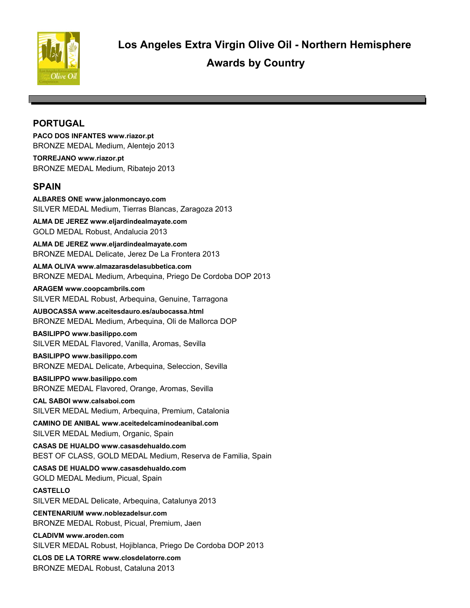

# **PORTUGAL**

**PACO DOS INFANTES www.riazor.pt** BRONZE MEDAL Medium, Alentejo 2013

**TORREJANO www.riazor.pt** BRONZE MEDAL Medium, Ribatejo 2013

# **SPAIN**

**ALBARES ONE www.jalonmoncayo.com** SILVER MEDAL Medium, Tierras Blancas, Zaragoza 2013

**ALMA DE JEREZ www.eljardindealmayate.com** GOLD MEDAL Robust, Andalucia 2013

**ALMA DE JEREZ www.eljardindealmayate.com** BRONZE MEDAL Delicate, Jerez De La Frontera 2013

**ALMA OLIVA www.almazarasdelasubbetica.com** BRONZE MEDAL Medium, Arbequina, Priego De Cordoba DOP 2013

**ARAGEM www.coopcambrils.com** SILVER MEDAL Robust, Arbequina, Genuine, Tarragona

**AUBOCASSA www.aceitesdauro.es/aubocassa.html** BRONZE MEDAL Medium, Arbequina, Oli de Mallorca DOP

### **BASILIPPO www.basilippo.com**

SILVER MEDAL Flavored, Vanilla, Aromas, Sevilla

**BASILIPPO www.basilippo.com** BRONZE MEDAL Delicate, Arbequina, Seleccion, Sevilla

**BASILIPPO www.basilippo.com** BRONZE MEDAL Flavored, Orange, Aromas, Sevilla

**CAL SABOI www.calsaboi.com** SILVER MEDAL Medium, Arbequina, Premium, Catalonia

**CAMINO DE ANIBAL www.aceitedelcaminodeanibal.com** SILVER MEDAL Medium, Organic, Spain

**CASAS DE HUALDO www.casasdehualdo.com** BEST OF CLASS, GOLD MEDAL Medium, Reserva de Familia, Spain

**CASAS DE HUALDO www.casasdehualdo.com** GOLD MEDAL Medium, Picual, Spain

**CASTELLO**  SILVER MEDAL Delicate, Arbequina, Catalunya 2013

**CENTENARIUM www.noblezadelsur.com** BRONZE MEDAL Robust, Picual, Premium, Jaen

**CLADIVM www.aroden.com** SILVER MEDAL Robust, Hojiblanca, Priego De Cordoba DOP 2013

**CLOS DE LA TORRE www.closdelatorre.com** BRONZE MEDAL Robust, Cataluna 2013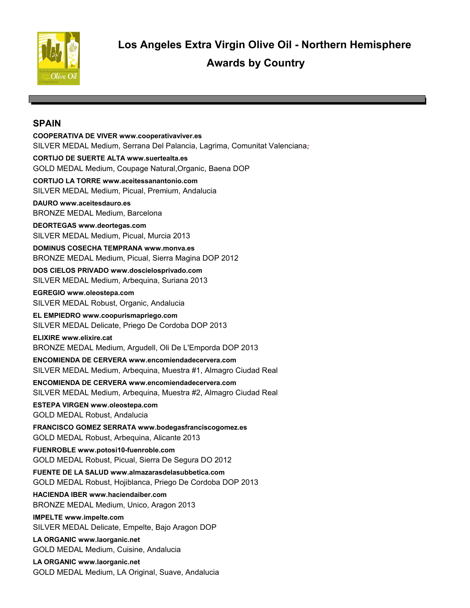

# **SPAIN**

**COOPERATIVA DE VIVER www.cooperativaviver.es** SILVER MEDAL Medium, Serrana Del Palancia, Lagrima, Comunitat Valenciana, **CORTIJO DE SUERTE ALTA www.suertealta.es** GOLD MEDAL Medium, Coupage Natural,Organic, Baena DOP **CORTIJO LA TORRE www.aceitessanantonio.com** SILVER MEDAL Medium, Picual, Premium, Andalucia **DAURO www.aceitesdauro.es** BRONZE MEDAL Medium, Barcelona **DEORTEGAS www.deortegas.com** SILVER MEDAL Medium, Picual, Murcia 2013 **DOMINUS COSECHA TEMPRANA www.monva.es** BRONZE MEDAL Medium, Picual, Sierra Magina DOP 2012 **DOS CIELOS PRIVADO www.doscielosprivado.com** SILVER MEDAL Medium, Arbequina, Suriana 2013 **EGREGIO www.oleostepa.com** SILVER MEDAL Robust, Organic, Andalucia **EL EMPIEDRO www.coopurismapriego.com** SILVER MEDAL Delicate, Priego De Cordoba DOP 2013 **ELIXIRE www.elixire.cat** BRONZE MEDAL Medium, Argudell, Oli De L'Emporda DOP 2013 **ENCOMIENDA DE CERVERA www.encomiendadecervera.com** SILVER MEDAL Medium, Arbequina, Muestra #1, Almagro Ciudad Real **ENCOMIENDA DE CERVERA www.encomiendadecervera.com** SILVER MEDAL Medium, Arbequina, Muestra #2, Almagro Ciudad Real **ESTEPA VIRGEN www.oleostepa.com** GOLD MEDAL Robust, Andalucia **FRANCISCO GOMEZ SERRATA www.bodegasfranciscogomez.es** GOLD MEDAL Robust, Arbequina, Alicante 2013 **FUENROBLE www.potosi10-fuenroble.com** GOLD MEDAL Robust, Picual, Sierra De Segura DO 2012 **FUENTE DE LA SALUD www.almazarasdelasubbetica.com** GOLD MEDAL Robust, Hojiblanca, Priego De Cordoba DOP 2013 **HACIENDA IBER www.haciendaiber.com** BRONZE MEDAL Medium, Unico, Aragon 2013 **IMPELTE www.impelte.com** SILVER MEDAL Delicate, Empelte, Bajo Aragon DOP **LA ORGANIC www.laorganic.net** GOLD MEDAL Medium, Cuisine, Andalucia **LA ORGANIC www.laorganic.net** GOLD MEDAL Medium, LA Original, Suave, Andalucia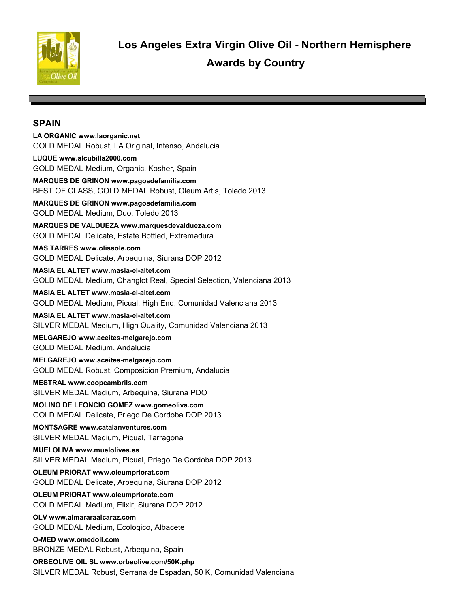

 **Awards by Country Los Angeles Extra Virgin Olive Oil - Northern Hemisphere**

### **SPAIN**

**LA ORGANIC www.laorganic.net** GOLD MEDAL Robust, LA Original, Intenso, Andalucia **LUQUE www.alcubilla2000.com** GOLD MEDAL Medium, Organic, Kosher, Spain **MARQUES DE GRINON www.pagosdefamilia.com** BEST OF CLASS, GOLD MEDAL Robust, Oleum Artis, Toledo 2013 **MARQUES DE GRINON www.pagosdefamilia.com** GOLD MEDAL Medium, Duo, Toledo 2013 **MARQUES DE VALDUEZA www.marquesdevaldueza.com** GOLD MEDAL Delicate, Estate Bottled, Extremadura **MAS TARRES www.olissole.com** GOLD MEDAL Delicate, Arbequina, Siurana DOP 2012 **MASIA EL ALTET www.masia-el-altet.com** GOLD MEDAL Medium, Changlot Real, Special Selection, Valenciana 2013 **MASIA EL ALTET www.masia-el-altet.com** GOLD MEDAL Medium, Picual, High End, Comunidad Valenciana 2013 **MASIA EL ALTET www.masia-el-altet.com** SILVER MEDAL Medium, High Quality, Comunidad Valenciana 2013 **MELGAREJO www.aceites-melgarejo.com** GOLD MEDAL Medium, Andalucia **MELGAREJO www.aceites-melgarejo.com** GOLD MEDAL Robust, Composicion Premium, Andalucia **MESTRAL www.coopcambrils.com** SILVER MEDAL Medium, Arbequina, Siurana PDO **MOLINO DE LEONCIO GOMEZ www.gomeoliva.com** GOLD MEDAL Delicate, Priego De Cordoba DOP 2013 **MONTSAGRE www.catalanventures.com** SILVER MEDAL Medium, Picual, Tarragona **MUELOLIVA www.muelolives.es** SILVER MEDAL Medium, Picual, Priego De Cordoba DOP 2013

**OLEUM PRIORAT www.oleumpriorat.com** GOLD MEDAL Delicate, Arbequina, Siurana DOP 2012

**OLEUM PRIORAT www.oleumpriorate.com** GOLD MEDAL Medium, Elixir, Siurana DOP 2012

**OLV www.almararaalcaraz.com** GOLD MEDAL Medium, Ecologico, Albacete

**O-MED www.omedoil.com** BRONZE MEDAL Robust, Arbequina, Spain

**ORBEOLIVE OIL SL www.orbeolive.com/50K.php** SILVER MEDAL Robust, Serrana de Espadan, 50 K, Comunidad Valenciana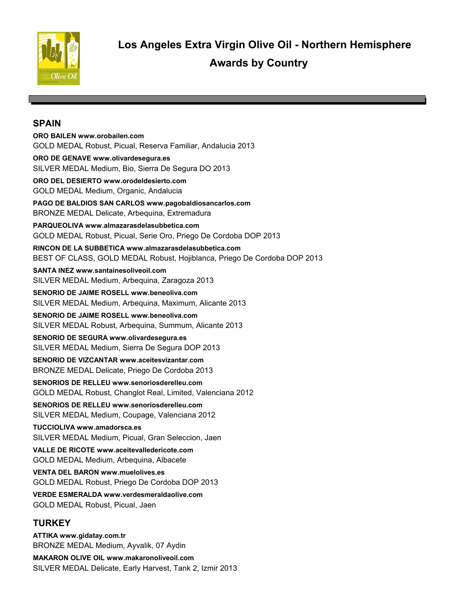

### **SPAIN**

**ORO BAILEN www.orobailen.com** GOLD MEDAL Robust, Picual, Reserva Familiar, Andalucia 2013 **ORO DE GENAVE www.olivardesegura.es** SILVER MEDAL Medium, Bio, Sierra De Segura DO 2013 **ORO DEL DESIERTO www.orodeldesierto.com** GOLD MEDAL Medium, Organic, Andalucia **PAGO DE BALDIOS SAN CARLOS www.pagobaldiosancarlos.com** BRONZE MEDAL Delicate, Arbequina, Extremadura **PARQUEOLIVA www.almazarasdelasubbetica.com** GOLD MEDAL Robust, Picual, Serie Oro, Priego De Cordoba DOP 2013 **RINCON DE LA SUBBETICA www.almazarasdelasubbetica.com** BEST OF CLASS, GOLD MEDAL Robust, Hojiblanca, Priego De Cordoba DOP 2013 **SANTA INEZ www.santainesoliveoil.com** SILVER MEDAL Medium, Arbequina, Zaragoza 2013 **SENORIO DE JAIME ROSELL www.beneoliva.com** SILVER MEDAL Medium, Arbequina, Maximum, Alicante 2013 **SENORIO DE JAIME ROSELL www.beneoliva.com** SILVER MEDAL Robust, Arbequina, Summum, Alicante 2013 **SENORIO DE SEGURA www.olivardesegura.es** SILVER MEDAL Medium, Sierra De Segura DOP 2013 **SENORIO DE VIZCANTAR www.aceitesvizantar.com** BRONZE MEDAL Delicate, Priego De Cordoba 2013 **SENORIOS DE RELLEU www.senoriosderelleu.com** GOLD MEDAL Robust, Changlot Real, Limited, Valenciana 2012 **SENORIOS DE RELLEU www.senoriosderelleu.com** SILVER MEDAL Medium, Coupage, Valenciana 2012 **TUCCIOLIVA www.amadorsca.es** SILVER MEDAL Medium, Picual, Gran Seleccion, Jaen **VALLE DE RICOTE www.aceitevalledericote.com** GOLD MEDAL Medium, Arbequina, Albacete **VENTA DEL BARON www.muelolives.es** GOLD MEDAL Robust, Priego De Cordoba DOP 2013 **VERDE ESMERALDA www.verdesmeraldaolive.com** GOLD MEDAL Robust, Picual, Jaen **TURKEY ATTIKA www.gidatay.com.tr**

**MAKARON OLIVE OIL www.makaronoliveoil.com** SILVER MEDAL Delicate, Early Harvest, Tank 2, Izmir 2013

BRONZE MEDAL Medium, Ayvalik, 07 Aydin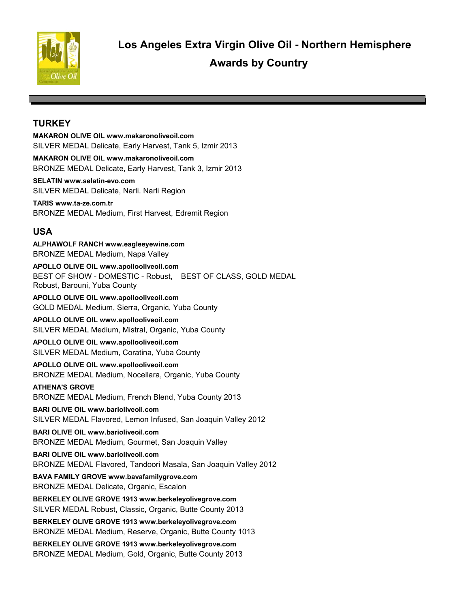

# **TURKEY**

**MAKARON OLIVE OIL www.makaronoliveoil.com** SILVER MEDAL Delicate, Early Harvest, Tank 5, Izmir 2013

**MAKARON OLIVE OIL www.makaronoliveoil.com** BRONZE MEDAL Delicate, Early Harvest, Tank 3, Izmir 2013

**SELATIN www.selatin-evo.com** SILVER MEDAL Delicate, Narli. Narli Region

**TARIS www.ta-ze.com.tr** BRONZE MEDAL Medium, First Harvest, Edremit Region

# **USA**

**ALPHAWOLF RANCH www.eagleeyewine.com** BRONZE MEDAL Medium, Napa Valley

**APOLLO OLIVE OIL www.apollooliveoil.com** BEST OF SHOW - DOMESTIC - Robust, BEST OF CLASS, GOLD MEDAL Robust, Barouni, Yuba County

**APOLLO OLIVE OIL www.apollooliveoil.com** GOLD MEDAL Medium, Sierra, Organic, Yuba County

**APOLLO OLIVE OIL www.apollooliveoil.com** SILVER MEDAL Medium, Mistral, Organic, Yuba County

**APOLLO OLIVE OIL www.apollooliveoil.com** SILVER MEDAL Medium, Coratina, Yuba County

**APOLLO OLIVE OIL www.apollooliveoil.com** BRONZE MEDAL Medium, Nocellara, Organic, Yuba County

**ATHENA'S GROVE**  BRONZE MEDAL Medium, French Blend, Yuba County 2013

**BARI OLIVE OIL www.barioliveoil.com** SILVER MEDAL Flavored, Lemon Infused, San Joaquin Valley 2012

**BARI OLIVE OIL www.barioliveoil.com** BRONZE MEDAL Medium, Gourmet, San Joaquin Valley

**BARI OLIVE OIL www.barioliveoil.com** BRONZE MEDAL Flavored, Tandoori Masala, San Joaquin Valley 2012

**BAVA FAMILY GROVE www.bavafamilygrove.com** BRONZE MEDAL Delicate, Organic, Escalon

**BERKELEY OLIVE GROVE 1913 www.berkeleyolivegrove.com** SILVER MEDAL Robust, Classic, Organic, Butte County 2013

**BERKELEY OLIVE GROVE 1913 www.berkeleyolivegrove.com** BRONZE MEDAL Medium, Reserve, Organic, Butte County 1013

**BERKELEY OLIVE GROVE 1913 www.berkeleyolivegrove.com** BRONZE MEDAL Medium, Gold, Organic, Butte County 2013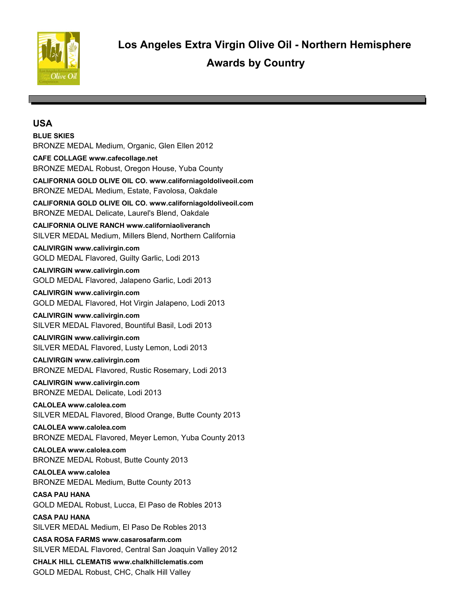

#### **BLUE SKIES**

BRONZE MEDAL Medium, Organic, Glen Ellen 2012

**CAFE COLLAGE www.cafecollage.net**

BRONZE MEDAL Robust, Oregon House, Yuba County

**CALIFORNIA GOLD OLIVE OIL CO. www.californiagoldoliveoil.com** BRONZE MEDAL Medium, Estate, Favolosa, Oakdale

**CALIFORNIA GOLD OLIVE OIL CO. www.californiagoldoliveoil.com** BRONZE MEDAL Delicate, Laurel's Blend, Oakdale

**CALIFORNIA OLIVE RANCH www.californiaoliveranch** SILVER MEDAL Medium, Millers Blend, Northern California

**CALIVIRGIN www.calivirgin.com** GOLD MEDAL Flavored, Guilty Garlic, Lodi 2013

**CALIVIRGIN www.calivirgin.com** GOLD MEDAL Flavored, Jalapeno Garlic, Lodi 2013

**CALIVIRGIN www.calivirgin.com** GOLD MEDAL Flavored, Hot Virgin Jalapeno, Lodi 2013

**CALIVIRGIN www.calivirgin.com** SILVER MEDAL Flavored, Bountiful Basil, Lodi 2013

### **CALIVIRGIN www.calivirgin.com**

SILVER MEDAL Flavored, Lusty Lemon, Lodi 2013

#### **CALIVIRGIN www.calivirgin.com**

BRONZE MEDAL Flavored, Rustic Rosemary, Lodi 2013

**CALIVIRGIN www.calivirgin.com** BRONZE MEDAL Delicate, Lodi 2013

**CALOLEA www.calolea.com** SILVER MEDAL Flavored, Blood Orange, Butte County 2013

**CALOLEA www.calolea.com** BRONZE MEDAL Flavored, Meyer Lemon, Yuba County 2013

**CALOLEA www.calolea.com** BRONZE MEDAL Robust, Butte County 2013

**CALOLEA www.calolea** BRONZE MEDAL Medium, Butte County 2013

**CASA PAU HANA**  GOLD MEDAL Robust, Lucca, El Paso de Robles 2013

**CASA PAU HANA**  SILVER MEDAL Medium, El Paso De Robles 2013

**CASA ROSA FARMS www.casarosafarm.com** SILVER MEDAL Flavored, Central San Joaquin Valley 2012

**CHALK HILL CLEMATIS www.chalkhillclematis.com** GOLD MEDAL Robust, CHC, Chalk Hill Valley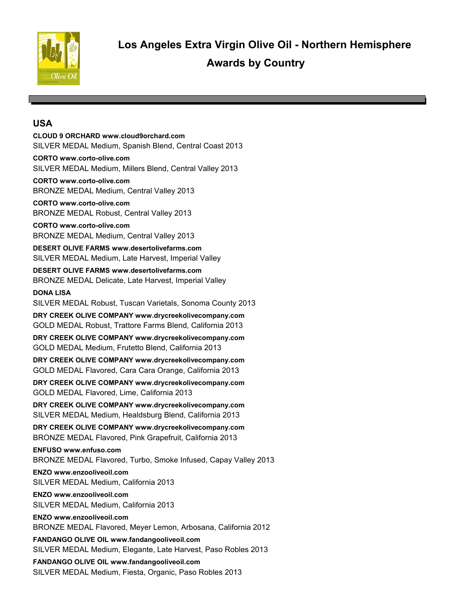

**CLOUD 9 ORCHARD www.cloud9orchard.com** SILVER MEDAL Medium, Spanish Blend, Central Coast 2013

**CORTO www.corto-olive.com** SILVER MEDAL Medium, Millers Blend, Central Valley 2013

**CORTO www.corto-olive.com** BRONZE MEDAL Medium, Central Valley 2013

**CORTO www.corto-olive.com** BRONZE MEDAL Robust, Central Valley 2013

**CORTO www.corto-olive.com** BRONZE MEDAL Medium, Central Valley 2013

**DESERT OLIVE FARMS www.desertolivefarms.com** SILVER MEDAL Medium, Late Harvest, Imperial Valley

**DESERT OLIVE FARMS www.desertolivefarms.com** BRONZE MEDAL Delicate, Late Harvest, Imperial Valley

**DONA LISA** 

SILVER MEDAL Robust, Tuscan Varietals, Sonoma County 2013

**DRY CREEK OLIVE COMPANY www.drycreekolivecompany.com** GOLD MEDAL Robust, Trattore Farms Blend, California 2013

**DRY CREEK OLIVE COMPANY www.drycreekolivecompany.com** GOLD MEDAL Medium, Frutetto Blend, California 2013

**DRY CREEK OLIVE COMPANY www.drycreekolivecompany.com** GOLD MEDAL Flavored, Cara Cara Orange, California 2013

**DRY CREEK OLIVE COMPANY www.drycreekolivecompany.com** GOLD MEDAL Flavored, Lime, California 2013

**DRY CREEK OLIVE COMPANY www.drycreekolivecompany.com** SILVER MEDAL Medium, Healdsburg Blend, California 2013

**DRY CREEK OLIVE COMPANY www.drycreekolivecompany.com** BRONZE MEDAL Flavored, Pink Grapefruit, California 2013

**ENFUSO www.enfuso.com** BRONZE MEDAL Flavored, Turbo, Smoke Infused, Capay Valley 2013

**ENZO www.enzooliveoil.com** SILVER MEDAL Medium, California 2013

**ENZO www.enzooliveoil.com** SILVER MEDAL Medium, California 2013

**ENZO www.enzooliveoil.com** BRONZE MEDAL Flavored, Meyer Lemon, Arbosana, California 2012

**FANDANGO OLIVE OIL www.fandangooliveoil.com** SILVER MEDAL Medium, Elegante, Late Harvest, Paso Robles 2013

**FANDANGO OLIVE OIL www.fandangooliveoil.com** SILVER MEDAL Medium, Fiesta, Organic, Paso Robles 2013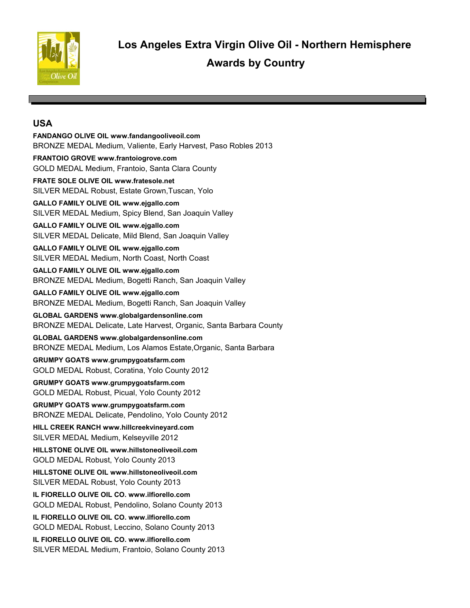

**FANDANGO OLIVE OIL www.fandangooliveoil.com** BRONZE MEDAL Medium, Valiente, Early Harvest, Paso Robles 2013 **FRANTOIO GROVE www.frantoiogrove.com** GOLD MEDAL Medium, Frantoio, Santa Clara County **FRATE SOLE OLIVE OIL www.fratesole.net** SILVER MEDAL Robust, Estate Grown,Tuscan, Yolo **GALLO FAMILY OLIVE OIL www.ejgallo.com** SILVER MEDAL Medium, Spicy Blend, San Joaquin Valley **GALLO FAMILY OLIVE OIL www.ejgallo.com** SILVER MEDAL Delicate, Mild Blend, San Joaquin Valley **GALLO FAMILY OLIVE OIL www.ejgallo.com** SILVER MEDAL Medium, North Coast, North Coast **GALLO FAMILY OLIVE OIL www.ejgallo.com** BRONZE MEDAL Medium, Bogetti Ranch, San Joaquin Valley **GALLO FAMILY OLIVE OIL www.ejgallo.com** BRONZE MEDAL Medium, Bogetti Ranch, San Joaquin Valley **GLOBAL GARDENS www.globalgardensonline.com** BRONZE MEDAL Delicate, Late Harvest, Organic, Santa Barbara County

**GLOBAL GARDENS www.globalgardensonline.com** BRONZE MEDAL Medium, Los Alamos Estate,Organic, Santa Barbara

**GRUMPY GOATS www.grumpygoatsfarm.com** GOLD MEDAL Robust, Coratina, Yolo County 2012

**GRUMPY GOATS www.grumpygoatsfarm.com** GOLD MEDAL Robust, Picual, Yolo County 2012

**GRUMPY GOATS www.grumpygoatsfarm.com** BRONZE MEDAL Delicate, Pendolino, Yolo County 2012

**HILL CREEK RANCH www.hillcreekvineyard.com** SILVER MEDAL Medium, Kelseyville 2012

**HILLSTONE OLIVE OIL www.hillstoneoliveoil.com** GOLD MEDAL Robust, Yolo County 2013

**HILLSTONE OLIVE OIL www.hillstoneoliveoil.com** SILVER MEDAL Robust, Yolo County 2013

**IL FIORELLO OLIVE OIL CO. www.ilfiorello.com** GOLD MEDAL Robust, Pendolino, Solano County 2013

**IL FIORELLO OLIVE OIL CO. www.ilfiorello.com** GOLD MEDAL Robust, Leccino, Solano County 2013

**IL FIORELLO OLIVE OIL CO. www.ilfiorello.com** SILVER MEDAL Medium, Frantoio, Solano County 2013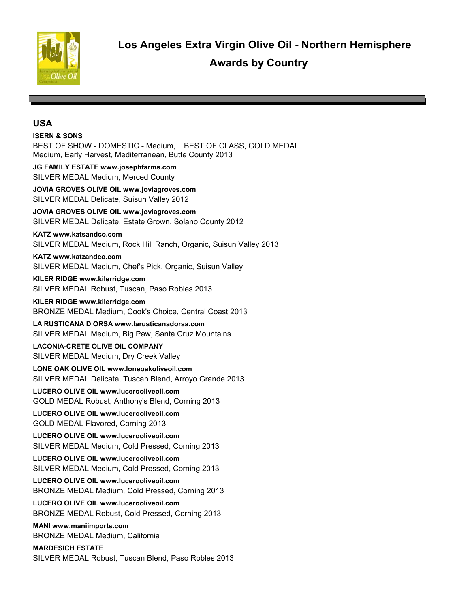

**ISERN & SONS**  BEST OF SHOW - DOMESTIC - Medium, BEST OF CLASS, GOLD MEDAL Medium, Early Harvest, Mediterranean, Butte County 2013 **JG FAMILY ESTATE www.josephfarms.com** SILVER MEDAL Medium, Merced County **JOVIA GROVES OLIVE OIL www.joviagroves.com** SILVER MEDAL Delicate, Suisun Valley 2012 **JOVIA GROVES OLIVE OIL www.joviagroves.com** SILVER MEDAL Delicate, Estate Grown, Solano County 2012 **KATZ www.katsandco.com** SILVER MEDAL Medium, Rock Hill Ranch, Organic, Suisun Valley 2013 **KATZ www.katzandco.com** SILVER MEDAL Medium, Chef's Pick, Organic, Suisun Valley **KILER RIDGE www.kilerridge.com** SILVER MEDAL Robust, Tuscan, Paso Robles 2013 **KILER RIDGE www.kilerridge.com** BRONZE MEDAL Medium, Cook's Choice, Central Coast 2013 **LA RUSTICANA D ORSA www.larusticanadorsa.com** SILVER MEDAL Medium, Big Paw, Santa Cruz Mountains **LACONIA-CRETE OLIVE OIL COMPANY**  SILVER MEDAL Medium, Dry Creek Valley **LONE OAK OLIVE OIL www.loneoakoliveoil.com** SILVER MEDAL Delicate, Tuscan Blend, Arroyo Grande 2013 **LUCERO OLIVE OIL www.lucerooliveoil.com** GOLD MEDAL Robust, Anthony's Blend, Corning 2013 **LUCERO OLIVE OIL www.lucerooliveoil.com** GOLD MEDAL Flavored, Corning 2013 **LUCERO OLIVE OIL www.lucerooliveoil.com** SILVER MEDAL Medium, Cold Pressed, Corning 2013 **LUCERO OLIVE OIL www.lucerooliveoil.com** SILVER MEDAL Medium, Cold Pressed, Corning 2013 **LUCERO OLIVE OIL www.lucerooliveoil.com** BRONZE MEDAL Medium, Cold Pressed, Corning 2013 **LUCERO OLIVE OIL www.lucerooliveoil.com** BRONZE MEDAL Robust, Cold Pressed, Corning 2013 **MANI www.maniimports.com** BRONZE MEDAL Medium, California **MARDESICH ESTATE**  SILVER MEDAL Robust, Tuscan Blend, Paso Robles 2013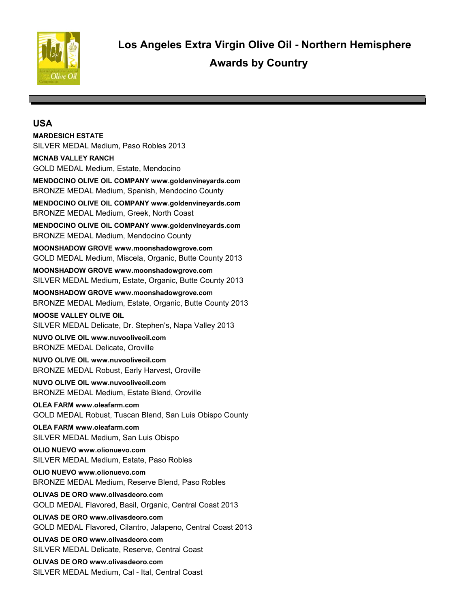

#### **MARDESICH ESTATE**

SILVER MEDAL Medium, Paso Robles 2013

#### **MCNAB VALLEY RANCH**

GOLD MEDAL Medium, Estate, Mendocino

**MENDOCINO OLIVE OIL COMPANY www.goldenvineyards.com** BRONZE MEDAL Medium, Spanish, Mendocino County

**MENDOCINO OLIVE OIL COMPANY www.goldenvineyards.com** BRONZE MEDAL Medium, Greek, North Coast

**MENDOCINO OLIVE OIL COMPANY www.goldenvineyards.com** BRONZE MEDAL Medium, Mendocino County

**MOONSHADOW GROVE www.moonshadowgrove.com** GOLD MEDAL Medium, Miscela, Organic, Butte County 2013

**MOONSHADOW GROVE www.moonshadowgrove.com** SILVER MEDAL Medium, Estate, Organic, Butte County 2013

**MOONSHADOW GROVE www.moonshadowgrove.com** BRONZE MEDAL Medium, Estate, Organic, Butte County 2013

#### **MOOSE VALLEY OLIVE OIL**  SILVER MEDAL Delicate, Dr. Stephen's, Napa Valley 2013

**NUVO OLIVE OIL www.nuvooliveoil.com** BRONZE MEDAL Delicate, Oroville

**NUVO OLIVE OIL www.nuvooliveoil.com** BRONZE MEDAL Robust, Early Harvest, Oroville

**NUVO OLIVE OIL www.nuvooliveoil.com** BRONZE MEDAL Medium, Estate Blend, Oroville

**OLEA FARM www.oleafarm.com** GOLD MEDAL Robust, Tuscan Blend, San Luis Obispo County

**OLEA FARM www.oleafarm.com** SILVER MEDAL Medium, San Luis Obispo

**OLIO NUEVO www.olionuevo.com** SILVER MEDAL Medium, Estate, Paso Robles

**OLIO NUEVO www.olionuevo.com** BRONZE MEDAL Medium, Reserve Blend, Paso Robles

**OLIVAS DE ORO www.olivasdeoro.com** GOLD MEDAL Flavored, Basil, Organic, Central Coast 2013

**OLIVAS DE ORO www.olivasdeoro.com** GOLD MEDAL Flavored, Cilantro, Jalapeno, Central Coast 2013

**OLIVAS DE ORO www.olivasdeoro.com** SILVER MEDAL Delicate, Reserve, Central Coast

**OLIVAS DE ORO www.olivasdeoro.com** SILVER MEDAL Medium, Cal - Ital, Central Coast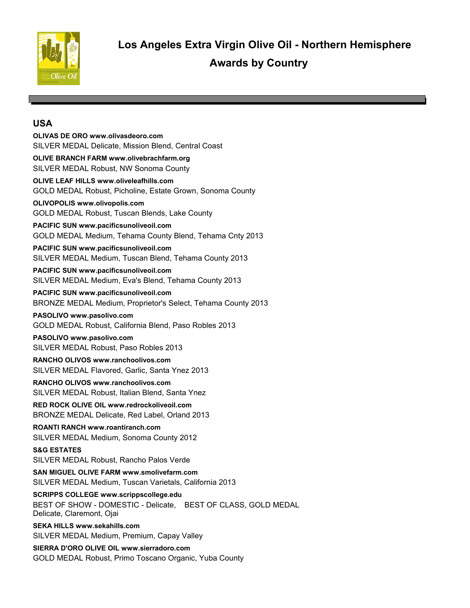

**OLIVAS DE ORO www.olivasdeoro.com** SILVER MEDAL Delicate, Mission Blend, Central Coast **OLIVE BRANCH FARM www.olivebrachfarm.org** SILVER MEDAL Robust, NW Sonoma County **OLIVE LEAF HILLS www.oliveleafhills.com** GOLD MEDAL Robust, Picholine, Estate Grown, Sonoma County **OLIVOPOLIS www.olivopolis.com** GOLD MEDAL Robust, Tuscan Blends, Lake County **PACIFIC SUN www.pacificsunoliveoil.com** GOLD MEDAL Medium, Tehama County Blend, Tehama Cnty 2013 **PACIFIC SUN www.pacificsunoliveoil.com** SILVER MEDAL Medium, Tuscan Blend, Tehama County 2013 **PACIFIC SUN www.pacificsunoliveoil.com** SILVER MEDAL Medium, Eva's Blend, Tehama County 2013 **PACIFIC SUN www.pacificsunoliveoil.com** BRONZE MEDAL Medium, Proprietor's Select, Tehama County 2013 **PASOLIVO www.pasolivo.com** GOLD MEDAL Robust, California Blend, Paso Robles 2013 **PASOLIVO www.pasolivo.com** SILVER MEDAL Robust, Paso Robles 2013 **RANCHO OLIVOS www.ranchoolivos.com** SILVER MEDAL Flavored, Garlic, Santa Ynez 2013 **RANCHO OLIVOS www.ranchoolivos.com** SILVER MEDAL Robust, Italian Blend, Santa Ynez **RED ROCK OLIVE OIL www.redrockoliveoil.com** BRONZE MEDAL Delicate, Red Label, Orland 2013 **ROANTI RANCH www.roantiranch.com** SILVER MEDAL Medium, Sonoma County 2012 **S&G ESTATES**  SILVER MEDAL Robust, Rancho Palos Verde **SAN MIGUEL OLIVE FARM www.smolivefarm.com** SILVER MEDAL Medium, Tuscan Varietals, California 2013 **SCRIPPS COLLEGE www.scrippscollege.edu** BEST OF SHOW - DOMESTIC - Delicate, BEST OF CLASS, GOLD MEDAL Delicate, Claremont, Ojai **SEKA HILLS www.sekahills.com** SILVER MEDAL Medium, Premium, Capay Valley **SIERRA D'ORO OLIVE OIL www.sierradoro.com** GOLD MEDAL Robust, Primo Toscano Organic, Yuba County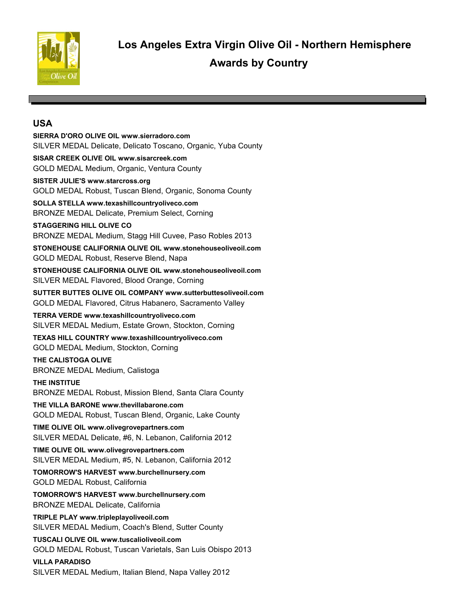

**SIERRA D'ORO OLIVE OIL www.sierradoro.com** SILVER MEDAL Delicate, Delicato Toscano, Organic, Yuba County **SISAR CREEK OLIVE OIL www.sisarcreek.com** GOLD MEDAL Medium, Organic, Ventura County **SISTER JULIE'S www.starcross.org** GOLD MEDAL Robust, Tuscan Blend, Organic, Sonoma County **SOLLA STELLA www.texashillcountryoliveco.com** BRONZE MEDAL Delicate, Premium Select, Corning **STAGGERING HILL OLIVE CO**  BRONZE MEDAL Medium, Stagg Hill Cuvee, Paso Robles 2013 **STONEHOUSE CALIFORNIA OLIVE OIL www.stonehouseoliveoil.com** GOLD MEDAL Robust, Reserve Blend, Napa **STONEHOUSE CALIFORNIA OLIVE OIL www.stonehouseoliveoil.com** SILVER MEDAL Flavored, Blood Orange, Corning **SUTTER BUTTES OLIVE OIL COMPANY www.sutterbuttesoliveoil.com** GOLD MEDAL Flavored, Citrus Habanero, Sacramento Valley **TERRA VERDE www.texashillcountryoliveco.com** SILVER MEDAL Medium, Estate Grown, Stockton, Corning **TEXAS HILL COUNTRY www.texashillcountryoliveco.com** GOLD MEDAL Medium, Stockton, Corning **THE CALISTOGA OLIVE**  BRONZE MEDAL Medium, Calistoga **THE INSTITUE**  BRONZE MEDAL Robust, Mission Blend, Santa Clara County **THE VILLA BARONE www.thevillabarone.com** GOLD MEDAL Robust, Tuscan Blend, Organic, Lake County **TIME OLIVE OIL www.olivegrovepartners.com** SILVER MEDAL Delicate, #6, N. Lebanon, California 2012 **TIME OLIVE OIL www.olivegrovepartners.com** SILVER MEDAL Medium, #5, N. Lebanon, California 2012 **TOMORROW'S HARVEST www.burchellnursery.com** GOLD MEDAL Robust, California **TOMORROW'S HARVEST www.burchellnursery.com** BRONZE MEDAL Delicate, California **TRIPLE PLAY www.tripleplayoliveoil.com** SILVER MEDAL Medium, Coach's Blend, Sutter County **TUSCALI OLIVE OIL www.tuscalioliveoil.com**

GOLD MEDAL Robust, Tuscan Varietals, San Luis Obispo 2013

#### **VILLA PARADISO**

SILVER MEDAL Medium, Italian Blend, Napa Valley 2012